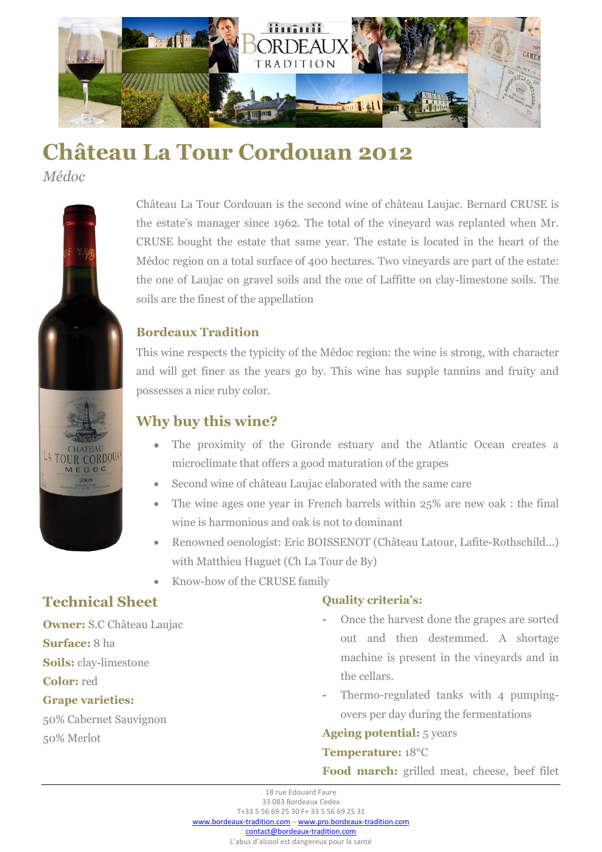

# **Château La Tour Cordouan 2012**

*Médoc*



Château La Tour Cordouan is the second wine of château Laujac. Bernard CRUSE is the estate's manager since 1962. The total of the vineyard was replanted when Mr. CRUSE bought the estate that same year. The estate is located in the heart of the Médoc region on a total surface of 400 hectares. Two vineyards are part of the estate: the one of Laujac on gravel soils and the one of Laffitte on clay-limestone soils. The soils are the finest of the appellation

## **Bordeaux Tradition**

This wine respects the typicity of the Médoc region: the wine is strong, with character and will get finer as the years go by. This wine has supple tannins and fruity and possesses a nice ruby color.

# **Why buy this wine?**

- The proximity of the Gironde estuary and the Atlantic Ocean creates a microclimate that offers a good maturation of the grapes
- Second wine of château Laujac elaborated with the same care
- The wine ages one year in French barrels within 25% are new oak : the final wine is harmonious and oak is not to dominant
- Renowned oenologist: Eric BOISSENOT (Château Latour, Lafite-Rothschild...) with Matthieu Huguet (Ch La Tour de By)
- Know-how of the CRUSE family

# **Technical Sheet**

**Owner:** S.C Château Laujac

**Surface:** 8 ha

**Soils:** clay-limestone

**Color:** red

#### **Grape varieties:**

50% Cabernet Sauvignon 50% Merlot

### **Quality criteria's:**

- **-** Once the harvest done the grapes are sorted out and then destemmed. A shortage machine is present in the vineyards and in the cellars.
- **-** Thermo-regulated tanks with 4 pumpingovers per day during the fermentations

#### **Ageing potential:** 5 years

#### **Temperature:** 18°C

**Food march:** grilled meat, cheese, beef filet